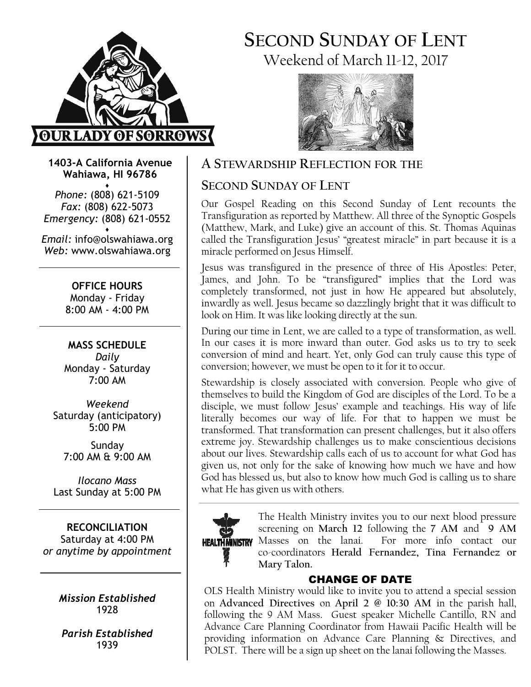

SECOND SUNDAY OF LENT Weekend of March 11-12, 2017



1403-A California Avenue Wahiawa, HI 96786

♦ Phone: (808) 621-5109 Fax: (808) 622-5073 Emergency: (808) 621-0552 ♦

Email: info@olswahiawa.org Web: www.olswahiawa.org

> OFFICE HOURS Monday - Friday 8:00 AM - 4:00 PM

MASS SCHEDULE Daily Monday - Saturday 7:00 AM

Weekend Saturday (anticipatory) 5:00 PM

Sunday 7:00 AM & 9:00 AM

Ilocano Mass Last Sunday at 5:00 PM

RECONCILIATION Saturday at 4:00 PM or anytime by appointment

> Mission Established 1928

Parish Established 1939

## A STEWARDSHIP REFLECTION FOR THE

## SECOND SUNDAY OF LENT

Our Gospel Reading on this Second Sunday of Lent recounts the Transfiguration as reported by Matthew. All three of the Synoptic Gospels (Matthew, Mark, and Luke) give an account of this. St. Thomas Aquinas called the Transfiguration Jesus' "greatest miracle" in part because it is a miracle performed on Jesus Himself.

Jesus was transfigured in the presence of three of His Apostles: Peter, James, and John. To be "transfigured" implies that the Lord was completely transformed, not just in how He appeared but absolutely, inwardly as well. Jesus became so dazzlingly bright that it was difficult to look on Him. It was like looking directly at the sun.

During our time in Lent, we are called to a type of transformation, as well. In our cases it is more inward than outer. God asks us to try to seek conversion of mind and heart. Yet, only God can truly cause this type of conversion; however, we must be open to it for it to occur.

Stewardship is closely associated with conversion. People who give of themselves to build the Kingdom of God are disciples of the Lord. To be a disciple, we must follow Jesus' example and teachings. His way of life literally becomes our way of life. For that to happen we must be transformed. That transformation can present challenges, but it also offers extreme joy. Stewardship challenges us to make conscientious decisions about our lives. Stewardship calls each of us to account for what God has given us, not only for the sake of knowing how much we have and how God has blessed us, but also to know how much God is calling us to share what He has given us with others.



The Health Ministry invites you to our next blood pressure screening on March 12 following the 7 AM and 9 AM Masses on the lanai. For more info contact our co-coordinators Herald Fernandez, Tina Fernandez or Mary Talon.

## CHANGE OF DATE

OLS Health Ministry would like to invite you to attend a special session on Advanced Directives on April 2 @ 10:30 AM in the parish hall, following the 9 AM Mass. Guest speaker Michelle Cantillo, RN and Advance Care Planning Coordinator from Hawaii Pacific Health will be providing information on Advance Care Planning & Directives, and POLST. There will be a sign up sheet on the lanai following the Masses.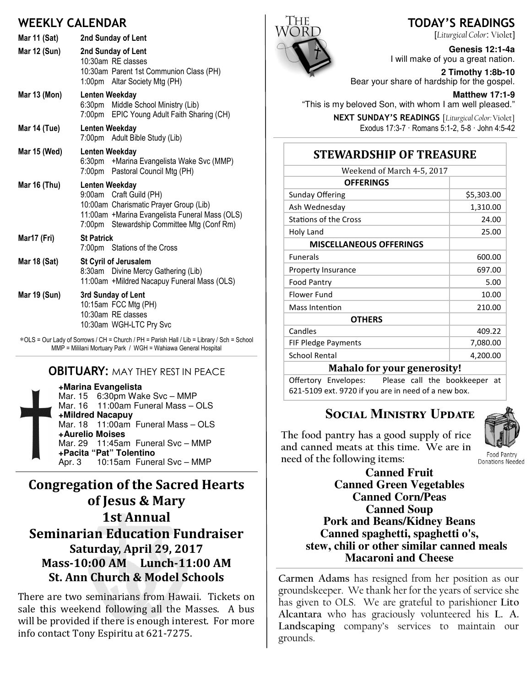## WEEKLY CALENDAR

| Mar 11 (Sat) | 2nd Sunday of Lent                                                                                                                                                                  |
|--------------|-------------------------------------------------------------------------------------------------------------------------------------------------------------------------------------|
| Mar 12 (Sun) | 2nd Sunday of Lent<br>10:30am RE classes<br>10:30am Parent 1st Communion Class (PH)<br>1:00pm Altar Society Mtg (PH)                                                                |
| Mar 13 (Mon) | Lenten Weekday<br>6:30pm Middle School Ministry (Lib)<br>7:00pm EPIC Young Adult Faith Sharing (CH)                                                                                 |
| Mar 14 (Tue) | Lenten Weekday<br>7:00pm Adult Bible Study (Lib)                                                                                                                                    |
| Mar 15 (Wed) | Lenten Weekday<br>6:30pm + Marina Evangelista Wake Svc (MMP)<br>7:00pm Pastoral Council Mtg (PH)                                                                                    |
| Mar 16 (Thu) | Lenten Weekday<br>9:00am Craft Guild (PH)<br>10:00am Charismatic Prayer Group (Lib)<br>11:00am +Marina Evangelista Funeral Mass (OLS)<br>7:00pm Stewardship Committee Mtg (Conf Rm) |
| Mar17 (Fri)  | <b>St Patrick</b><br>7:00pm Stations of the Cross                                                                                                                                   |
| Mar 18 (Sat) | <b>St Cyril of Jerusalem</b><br>8:30am Divine Mercy Gathering (Lib)<br>11:00am +Mildred Nacapuy Funeral Mass (OLS)                                                                  |
| Mar 19 (Sun) | 3rd Sunday of Lent<br>10:15am FCC Mtg (PH)<br>10:30am RE classes<br>10:30am WGH-LTC Pry Svc                                                                                         |
|              | *OLS = Our Lady of Sorrows / CH = Church / PH = Parish Hall / Lib = Library / Sch = School                                                                                          |

### **OBITUARY: MAY THEY REST IN PEACE**

MMP = Mililani Mortuary Park / WGH = Wahiawa General Hospital

**+Marina Evangelista** Mar. 15 6:30pm Wake Svc – MMP Mar. 16 11:00am Funeral Mass – OLS **+Mildred Nacapuy** Mar. 18 11:00am Funeral Mass - OLS **+Aurelio Moises** Mar. 29 11:45am Funeral Svc – MMP **+Pacita "Pat" Tolentino** Apr. 3 10:15am Funeral Svc – MMP

## Congregation of the Sacred Hearts of Jesus & Mary 1st Annual **Seminarian Education Fundraiser** Saturday, April 29, 2017 Mass-10:00 AM Lunch-11:00 AM St. Ann Church & Model Schools

There are two seminarians from Hawaii. Tickets on sale this weekend following all the Masses. A bus will be provided if there is enough interest. For more info contact Tony Espiritu at 621-7275.



## TODAY'S READINGS

[Liturgical Color: Violet]

**Genesis 12:1-4a**  I will make of you a great nation.

**2 Timothy 1:8b-10**  Bear your share of hardship for the gospel.

**Matthew 17:1-9** 

"This is my beloved Son, with whom I am well pleased."

NEXT SUNDAY'S READINGS [Liturgical Color: Violet] Exodus 17:3-7 · Romans 5:1-2, 5-8 · John 4:5-42

## **STEWARDSHIP OF TREASURE**

| Weekend of March 4-5, 2017     |            |  |
|--------------------------------|------------|--|
| <b>OFFERINGS</b>               |            |  |
| <b>Sunday Offering</b>         | \$5,303.00 |  |
| Ash Wednesday                  | 1,310.00   |  |
| <b>Stations of the Cross</b>   | 24.00      |  |
| Holy Land                      | 25.00      |  |
| <b>MISCELLANEOUS OFFERINGS</b> |            |  |
| <b>Funerals</b>                | 600.00     |  |
| Property Insurance             | 697.00     |  |
| Food Pantry                    | 5.00       |  |
| Flower Fund                    | 10.00      |  |
| Mass Intention                 | 210.00     |  |
| <b>OTHERS</b>                  |            |  |
| Candles                        | 409.22     |  |
| FIF Pledge Payments            | 7,080.00   |  |
| <b>School Rental</b>           | 4,200.00   |  |
| Mahalo for vour generocityl    |            |  |

Mahalo for your generosity!

Offertory Envelopes: Please call the bookkeeper at 621-5109 ext. 9720 if you are in need of a new box.

# SOCIAL MINISTRY UPDATE

The food pantry has a good supply of rice and canned meats at this time. We are in need of the following items:



Donations Needed **Canned Fruit Canned Green Vegetables Canned Corn/Peas Canned Soup Pork and Beans/Kidney Beans Canned spaghetti, spaghetti o's, stew, chili or other similar canned meals** 

Carmen Adams has resigned from her position as our groundskeeper. We thank her for the years of service she has given to OLS. We are grateful to parishioner Lito Alcantara who has graciously volunteered his L. A. Landscaping company's services to maintain our grounds.

**Macaroni and Cheese**